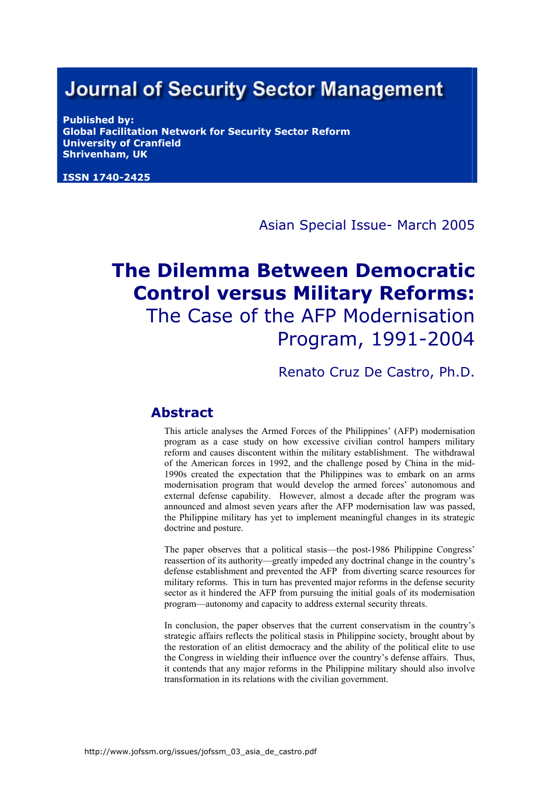# **Journal of Security Sector Management**

**Published by: Global Facilitation Network for Security Sector Reform University of Cranfield Shrivenham, UK** 

**ISSN 1740-2425**

#### Asian Special Issue- March 2005

# **The Dilemma Between Democratic Control versus Military Reforms:**  The Case of the AFP Modernisation Program, 1991-2004

Renato Cruz De Castro, Ph.D.

#### **Abstract**

This article analyses the Armed Forces of the Philippines' (AFP) modernisation program as a case study on how excessive civilian control hampers military reform and causes discontent within the military establishment. The withdrawal of the American forces in 1992, and the challenge posed by China in the mid-1990s created the expectation that the Philippines was to embark on an arms modernisation program that would develop the armed forces' autonomous and external defense capability. However, almost a decade after the program was announced and almost seven years after the AFP modernisation law was passed, the Philippine military has yet to implement meaningful changes in its strategic doctrine and posture.

The paper observes that a political stasis—the post-1986 Philippine Congress' reassertion of its authority—greatly impeded any doctrinal change in the country's defense establishment and prevented the AFP from diverting scarce resources for military reforms. This in turn has prevented major reforms in the defense security sector as it hindered the AFP from pursuing the initial goals of its modernisation program—autonomy and capacity to address external security threats.

In conclusion, the paper observes that the current conservatism in the country's strategic affairs reflects the political stasis in Philippine society, brought about by the restoration of an elitist democracy and the ability of the political elite to use the Congress in wielding their influence over the country's defense affairs. Thus, it contends that any major reforms in the Philippine military should also involve transformation in its relations with the civilian government.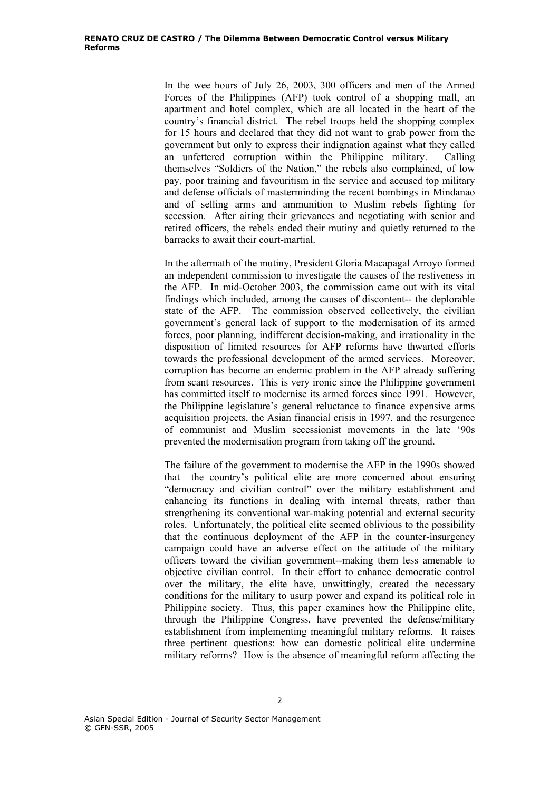In the wee hours of July 26, 2003, 300 officers and men of the Armed Forces of the Philippines (AFP) took control of a shopping mall, an apartment and hotel complex, which are all located in the heart of the country's financial district. The rebel troops held the shopping complex for 15 hours and declared that they did not want to grab power from the government but only to express their indignation against what they called an unfettered corruption within the Philippine military. Calling themselves "Soldiers of the Nation," the rebels also complained, of low pay, poor training and favouritism in the service and accused top military and defense officials of masterminding the recent bombings in Mindanao and of selling arms and ammunition to Muslim rebels fighting for secession. After airing their grievances and negotiating with senior and retired officers, the rebels ended their mutiny and quietly returned to the barracks to await their court-martial.

In the aftermath of the mutiny, President Gloria Macapagal Arroyo formed an independent commission to investigate the causes of the restiveness in the AFP. In mid-October 2003, the commission came out with its vital findings which included, among the causes of discontent-- the deplorable state of the AFP. The commission observed collectively, the civilian government's general lack of support to the modernisation of its armed forces, poor planning, indifferent decision-making, and irrationality in the disposition of limited resources for AFP reforms have thwarted efforts towards the professional development of the armed services. Moreover, corruption has become an endemic problem in the AFP already suffering from scant resources. This is very ironic since the Philippine government has committed itself to modernise its armed forces since 1991. However, the Philippine legislature's general reluctance to finance expensive arms acquisition projects, the Asian financial crisis in 1997, and the resurgence of communist and Muslim secessionist movements in the late '90s prevented the modernisation program from taking off the ground.

The failure of the government to modernise the AFP in the 1990s showed that the country's political elite are more concerned about ensuring "democracy and civilian control" over the military establishment and enhancing its functions in dealing with internal threats, rather than strengthening its conventional war-making potential and external security roles. Unfortunately, the political elite seemed oblivious to the possibility that the continuous deployment of the AFP in the counter-insurgency campaign could have an adverse effect on the attitude of the military officers toward the civilian government--making them less amenable to objective civilian control. In their effort to enhance democratic control over the military, the elite have, unwittingly, created the necessary conditions for the military to usurp power and expand its political role in Philippine society. Thus, this paper examines how the Philippine elite, through the Philippine Congress, have prevented the defense/military establishment from implementing meaningful military reforms. It raises three pertinent questions: how can domestic political elite undermine military reforms? How is the absence of meaningful reform affecting the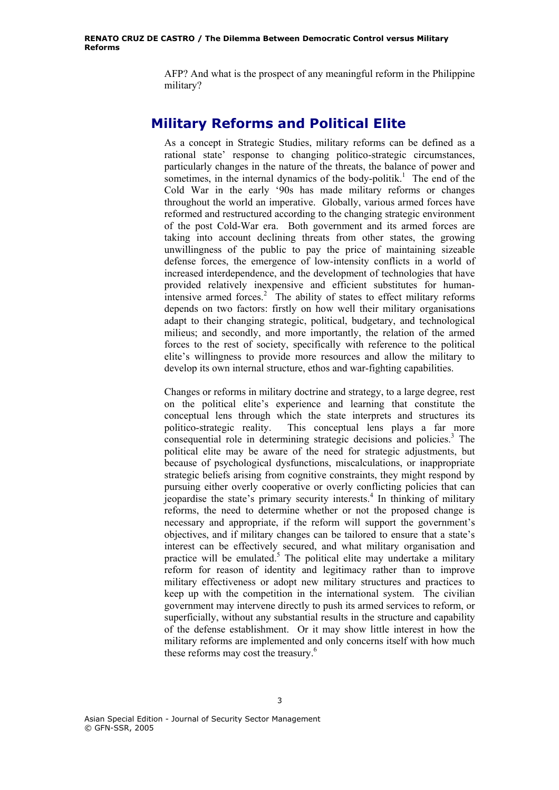AFP? And what is the prospect of any meaningful reform in the Philippine military?

#### **Military Reforms and Political Elite**

As a concept in Strategic Studies, military reforms can be defined as a rational state' response to changing politico-strategic circumstances, particularly changes in the nature of the threats, the balance of power and sometimes, in the internal dynamics of the body-politik.<sup>1</sup> The end of the Cold War in the early '90s has made military reforms or changes throughout the world an imperative. Globally, various armed forces have reformed and restructured according to the changing strategic environment of the post Cold-War era. Both government and its armed forces are taking into account declining threats from other states, the growing unwillingness of the public to pay the price of maintaining sizeable defense forces, the emergence of low-intensity conflicts in a world of increased interdependence, and the development of technologies that have provided relatively inexpensive and efficient substitutes for humanintensive armed forces.<sup>2</sup> The ability of states to effect military reforms depends on two factors: firstly on how well their military organisations adapt to their changing strategic, political, budgetary, and technological milieus; and secondly, and more importantly, the relation of the armed forces to the rest of society, specifically with reference to the political elite's willingness to provide more resources and allow the military to develop its own internal structure, ethos and war-fighting capabilities.

Changes or reforms in military doctrine and strategy, to a large degree, rest on the political elite's experience and learning that constitute the conceptual lens through which the state interprets and structures its politico-strategic reality. This conceptual lens plays a far more consequential role in determining strategic decisions and policies.<sup>3</sup> The political elite may be aware of the need for strategic adjustments, but because of psychological dysfunctions, miscalculations, or inappropriate strategic beliefs arising from cognitive constraints, they might respond by pursuing either overly cooperative or overly conflicting policies that can jeopardise the state's primary security interests.<sup>4</sup> In thinking of military reforms, the need to determine whether or not the proposed change is necessary and appropriate, if the reform will support the government's objectives, and if military changes can be tailored to ensure that a state's interest can be effectively secured, and what military organisation and practice will be emulated.<sup>5</sup> The political elite may undertake a military reform for reason of identity and legitimacy rather than to improve military effectiveness or adopt new military structures and practices to keep up with the competition in the international system. The civilian government may intervene directly to push its armed services to reform, or superficially, without any substantial results in the structure and capability of the defense establishment. Or it may show little interest in how the military reforms are implemented and only concerns itself with how much these reforms may cost the treasury.<sup>6</sup>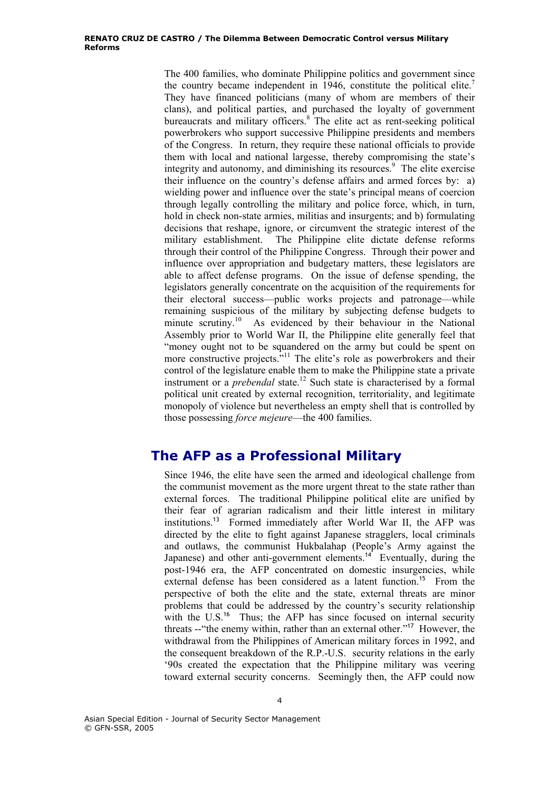The 400 families, who dominate Philippine politics and government since the country became independent in  $1946$ , constitute the political elite.<sup>7</sup> They have financed politicians (many of whom are members of their clans), and political parties, and purchased the loyalty of government bureaucrats and military officers.<sup>8</sup> The elite act as rent-seeking political powerbrokers who support successive Philippine presidents and members of the Congress. In return, they require these national officials to provide them with local and national largesse, thereby compromising the state's integrity and autonomy, and diminishing its resources.<sup>9</sup> The elite exercise their influence on the country's defense affairs and armed forces by: a) wielding power and influence over the state's principal means of coercion through legally controlling the military and police force, which, in turn, hold in check non-state armies, militias and insurgents; and b) formulating decisions that reshape, ignore, or circumvent the strategic interest of the military establishment. The Philippine elite dictate defense reforms through their control of the Philippine Congress. Through their power and influence over appropriation and budgetary matters, these legislators are able to affect defense programs. On the issue of defense spending, the legislators generally concentrate on the acquisition of the requirements for their electoral success—public works projects and patronage—while remaining suspicious of the military by subjecting defense budgets to minute scrutiny.<sup>10</sup> As evidenced by their behaviour in the National Assembly prior to World War II, the Philippine elite generally feel that "money ought not to be squandered on the army but could be spent on more constructive projects."<sup>11</sup> The elite's role as powerbrokers and their control of the legislature enable them to make the Philippine state a private instrument or a *prebendal* state.<sup>12</sup> Such state is characterised by a formal political unit created by external recognition, territoriality, and legitimate monopoly of violence but nevertheless an empty shell that is controlled by those possessing *force mejeure*—the 400 families.

# **The AFP as a Professional Military**

Since 1946, the elite have seen the armed and ideological challenge from the communist movement as the more urgent threat to the state rather than external forces. The traditional Philippine political elite are unified by their fear of agrarian radicalism and their little interest in military institutions.<sup>13</sup> Formed immediately after World War II, the AFP was directed by the elite to fight against Japanese stragglers, local criminals and outlaws, the communist Hukbalahap (People's Army against the Japanese) and other anti-government elements.<sup>14</sup> Eventually, during the post-1946 era, the AFP concentrated on domestic insurgencies, while external defense has been considered as a latent function.<sup>15</sup> From the perspective of both the elite and the state, external threats are minor problems that could be addressed by the country's security relationship with the U.S.<sup>16</sup> Thus; the AFP has since focused on internal security threats --"the enemy within, rather than an external other."<sup>17</sup> However, the withdrawal from the Philippines of American military forces in 1992, and the consequent breakdown of the R.P.-U.S. security relations in the early '90s created the expectation that the Philippine military was veering toward external security concerns. Seemingly then, the AFP could now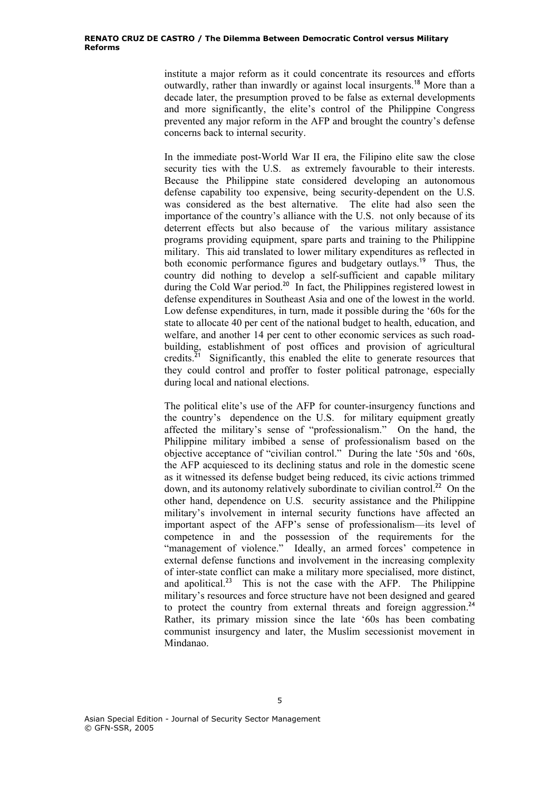institute a major reform as it could concentrate its resources and efforts outwardly, rather than inwardly or against local insurgents.<sup>18</sup> More than a decade later, the presumption proved to be false as external developments and more significantly, the elite's control of the Philippine Congress prevented any major reform in the AFP and brought the country's defense concerns back to internal security.

In the immediate post-World War II era, the Filipino elite saw the close security ties with the U.S. as extremely favourable to their interests. Because the Philippine state considered developing an autonomous defense capability too expensive, being security-dependent on the U.S. was considered as the best alternative. The elite had also seen the importance of the country's alliance with the U.S. not only because of its deterrent effects but also because of the various military assistance programs providing equipment, spare parts and training to the Philippine military. This aid translated to lower military expenditures as reflected in both economic performance figures and budgetary outlays.<sup>19</sup> Thus, the country did nothing to develop a self-sufficient and capable military during the Cold War period.<sup>20</sup> In fact, the Philippines registered lowest in defense expenditures in Southeast Asia and one of the lowest in the world. Low defense expenditures, in turn, made it possible during the '60s for the state to allocate 40 per cent of the national budget to health, education, and welfare, and another 14 per cent to other economic services as such roadbuilding, establishment of post offices and provision of agricultural credits. $2i$  Significantly, this enabled the elite to generate resources that they could control and proffer to foster political patronage, especially during local and national elections.

The political elite's use of the AFP for counter-insurgency functions and the country's dependence on the U.S. for military equipment greatly affected the military's sense of "professionalism." On the hand, the Philippine military imbibed a sense of professionalism based on the objective acceptance of "civilian control." During the late '50s and '60s, the AFP acquiesced to its declining status and role in the domestic scene as it witnessed its defense budget being reduced, its civic actions trimmed down, and its autonomy relatively subordinate to civilian control.<sup>22</sup> On the other hand, dependence on U.S. security assistance and the Philippine military's involvement in internal security functions have affected an important aspect of the AFP's sense of professionalism—its level of competence in and the possession of the requirements for the "management of violence." Ideally, an armed forces' competence in external defense functions and involvement in the increasing complexity of inter-state conflict can make a military more specialised, more distinct, and apolitical.<sup>23</sup> This is not the case with the AFP. The Philippine military's resources and force structure have not been designed and geared to protect the country from external threats and foreign aggression.<sup>24</sup> Rather, its primary mission since the late '60s has been combating communist insurgency and later, the Muslim secessionist movement in Mindanao.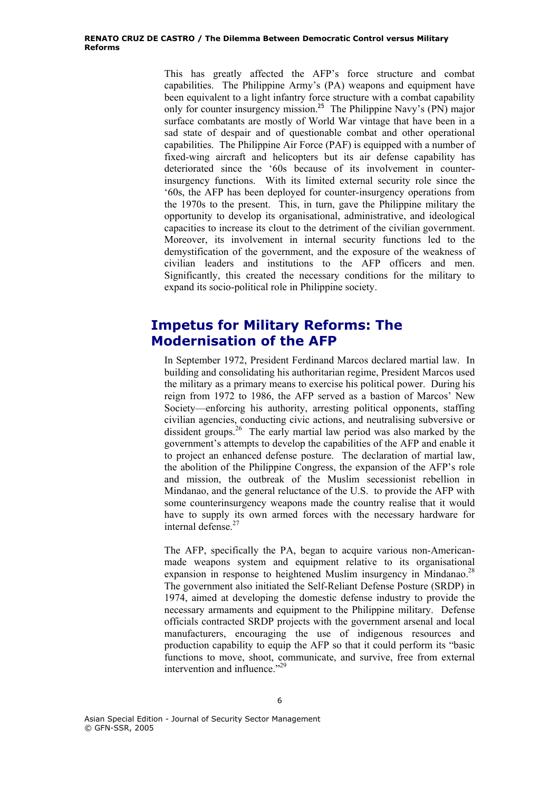This has greatly affected the AFP's force structure and combat capabilities. The Philippine Army's (PA) weapons and equipment have been equivalent to a light infantry force structure with a combat capability only for counter insurgency mission.<sup>25</sup> The Philippine Navy's (PN) major surface combatants are mostly of World War vintage that have been in a sad state of despair and of questionable combat and other operational capabilities. The Philippine Air Force (PAF) is equipped with a number of fixed-wing aircraft and helicopters but its air defense capability has deteriorated since the '60s because of its involvement in counterinsurgency functions. With its limited external security role since the '60s, the AFP has been deployed for counter-insurgency operations from the 1970s to the present. This, in turn, gave the Philippine military the opportunity to develop its organisational, administrative, and ideological capacities to increase its clout to the detriment of the civilian government. Moreover, its involvement in internal security functions led to the demystification of the government, and the exposure of the weakness of civilian leaders and institutions to the AFP officers and men. Significantly, this created the necessary conditions for the military to expand its socio-political role in Philippine society.

# **Impetus for Military Reforms: The Modernisation of the AFP**

In September 1972, President Ferdinand Marcos declared martial law. In building and consolidating his authoritarian regime, President Marcos used the military as a primary means to exercise his political power. During his reign from 1972 to 1986, the AFP served as a bastion of Marcos' New Society—enforcing his authority, arresting political opponents, staffing civilian agencies, conducting civic actions, and neutralising subversive or dissident groups.<sup>26</sup> The early martial law period was also marked by the government's attempts to develop the capabilities of the AFP and enable it to project an enhanced defense posture. The declaration of martial law, the abolition of the Philippine Congress, the expansion of the AFP's role and mission, the outbreak of the Muslim secessionist rebellion in Mindanao, and the general reluctance of the U.S. to provide the AFP with some counterinsurgency weapons made the country realise that it would have to supply its own armed forces with the necessary hardware for internal defense $27$ 

The AFP, specifically the PA, began to acquire various non-Americanmade weapons system and equipment relative to its organisational expansion in response to heightened Muslim insurgency in Mindanao.<sup>28</sup> The government also initiated the Self-Reliant Defense Posture (SRDP) in 1974, aimed at developing the domestic defense industry to provide the necessary armaments and equipment to the Philippine military. Defense officials contracted SRDP projects with the government arsenal and local manufacturers, encouraging the use of indigenous resources and production capability to equip the AFP so that it could perform its "basic functions to move, shoot, communicate, and survive, free from external intervention and influence."<sup>29</sup>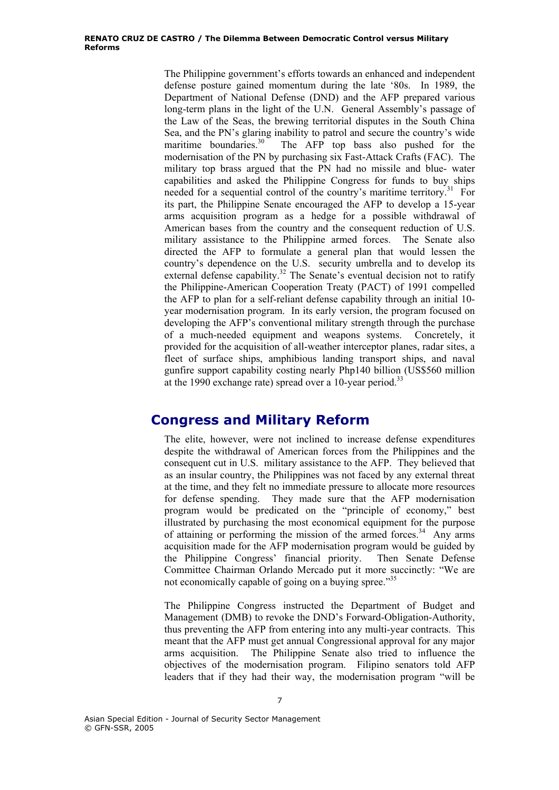The Philippine government's efforts towards an enhanced and independent defense posture gained momentum during the late '80s. In 1989, the Department of National Defense (DND) and the AFP prepared various long-term plans in the light of the U.N. General Assembly's passage of the Law of the Seas, the brewing territorial disputes in the South China Sea, and the PN's glaring inability to patrol and secure the country's wide maritime boundaries.<sup>30</sup> The AFP top bass also pushed for the modernisation of the PN by purchasing six Fast-Attack Crafts (FAC). The military top brass argued that the PN had no missile and blue- water capabilities and asked the Philippine Congress for funds to buy ships needed for a sequential control of the country's maritime territory.<sup>31</sup> For its part, the Philippine Senate encouraged the AFP to develop a 15-year arms acquisition program as a hedge for a possible withdrawal of American bases from the country and the consequent reduction of U.S. military assistance to the Philippine armed forces. The Senate also directed the AFP to formulate a general plan that would lessen the country's dependence on the U.S. security umbrella and to develop its external defense capability.<sup>32</sup> The Senate's eventual decision not to ratify the Philippine-American Cooperation Treaty (PACT) of 1991 compelled the AFP to plan for a self-reliant defense capability through an initial 10 year modernisation program. In its early version, the program focused on developing the AFP's conventional military strength through the purchase of a much-needed equipment and weapons systems. Concretely, it provided for the acquisition of all-weather interceptor planes, radar sites, a fleet of surface ships, amphibious landing transport ships, and naval gunfire support capability costing nearly Php140 billion (US\$560 million at the 1990 exchange rate) spread over a 10-year period.<sup>33</sup>

#### **Congress and Military Reform**

The elite, however, were not inclined to increase defense expenditures despite the withdrawal of American forces from the Philippines and the consequent cut in U.S. military assistance to the AFP. They believed that as an insular country, the Philippines was not faced by any external threat at the time, and they felt no immediate pressure to allocate more resources for defense spending. They made sure that the AFP modernisation program would be predicated on the "principle of economy," best illustrated by purchasing the most economical equipment for the purpose of attaining or performing the mission of the armed forces.<sup>34</sup> Any arms acquisition made for the AFP modernisation program would be guided by the Philippine Congress' financial priority. Then Senate Defense Committee Chairman Orlando Mercado put it more succinctly: "We are not economically capable of going on a buying spree."<sup>35</sup>

The Philippine Congress instructed the Department of Budget and Management (DMB) to revoke the DND's Forward-Obligation-Authority, thus preventing the AFP from entering into any multi-year contracts. This meant that the AFP must get annual Congressional approval for any major arms acquisition. The Philippine Senate also tried to influence the objectives of the modernisation program. Filipino senators told AFP leaders that if they had their way, the modernisation program "will be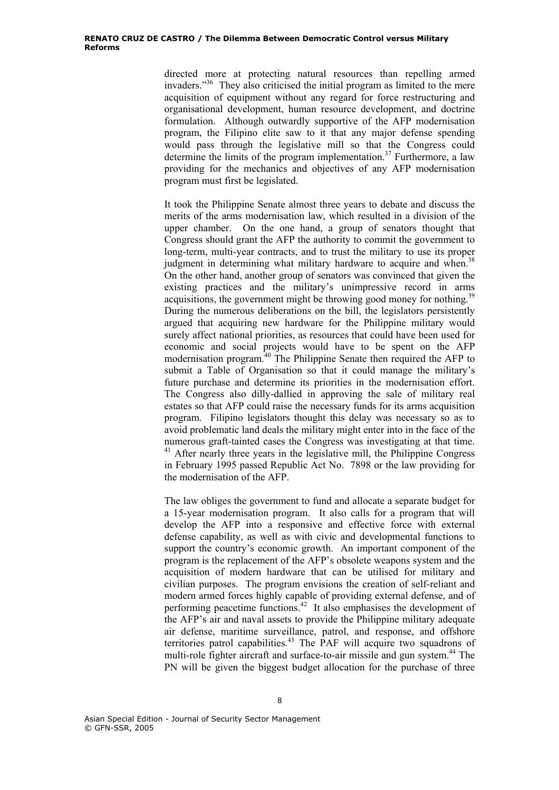directed more at protecting natural resources than repelling armed invaders."36 They also criticised the initial program as limited to the mere acquisition of equipment without any regard for force restructuring and organisational development, human resource development, and doctrine formulation. Although outwardly supportive of the AFP modernisation program, the Filipino elite saw to it that any major defense spending would pass through the legislative mill so that the Congress could determine the limits of the program implementation.<sup>37</sup> Furthermore, a law providing for the mechanics and objectives of any AFP modernisation program must first be legislated.

It took the Philippine Senate almost three years to debate and discuss the merits of the arms modernisation law, which resulted in a division of the upper chamber. On the one hand, a group of senators thought that Congress should grant the AFP the authority to commit the government to long-term, multi-year contracts, and to trust the military to use its proper judgment in determining what military hardware to acquire and when.<sup>3</sup> On the other hand, another group of senators was convinced that given the existing practices and the military's unimpressive record in arms acquisitions, the government might be throwing good money for nothing.<sup>39</sup> During the numerous deliberations on the bill, the legislators persistently argued that acquiring new hardware for the Philippine military would surely affect national priorities, as resources that could have been used for economic and social projects would have to be spent on the AFP modernisation program.<sup>40</sup> The Philippine Senate then required the AFP to submit a Table of Organisation so that it could manage the military's future purchase and determine its priorities in the modernisation effort. The Congress also dilly-dallied in approving the sale of military real estates so that AFP could raise the necessary funds for its arms acquisition program. Filipino legislators thought this delay was necessary so as to avoid problematic land deals the military might enter into in the face of the numerous graft-tainted cases the Congress was investigating at that time.  $41$  After nearly three years in the legislative mill, the Philippine Congress in February 1995 passed Republic Act No. 7898 or the law providing for the modernisation of the AFP.

The law obliges the government to fund and allocate a separate budget for a 15-year modernisation program. It also calls for a program that will develop the AFP into a responsive and effective force with external defense capability, as well as with civic and developmental functions to support the country's economic growth. An important component of the program is the replacement of the AFP's obsolete weapons system and the acquisition of modern hardware that can be utilised for military and civilian purposes. The program envisions the creation of self-reliant and modern armed forces highly capable of providing external defense, and of performing peacetime functions.42 It also emphasises the development of the AFP's air and naval assets to provide the Philippine military adequate air defense, maritime surveillance, patrol, and response, and offshore territories patrol capabilities.<sup>43</sup> The PAF will acquire two squadrons of multi-role fighter aircraft and surface-to-air missile and gun system.<sup>44</sup> The PN will be given the biggest budget allocation for the purchase of three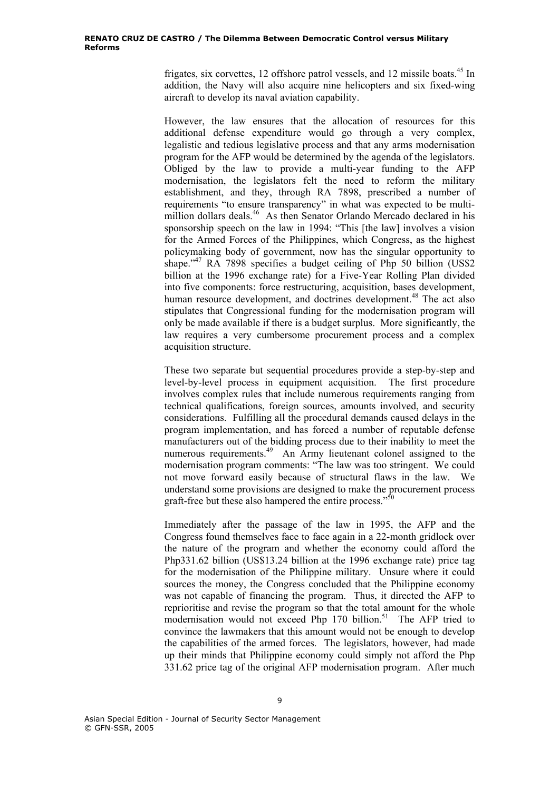frigates, six corvettes, 12 offshore patrol vessels, and 12 missile boats.<sup>45</sup> In addition, the Navy will also acquire nine helicopters and six fixed-wing aircraft to develop its naval aviation capability.

However, the law ensures that the allocation of resources for this additional defense expenditure would go through a very complex, legalistic and tedious legislative process and that any arms modernisation program for the AFP would be determined by the agenda of the legislators. Obliged by the law to provide a multi-year funding to the AFP modernisation, the legislators felt the need to reform the military establishment, and they, through RA 7898, prescribed a number of requirements "to ensure transparency" in what was expected to be multimillion dollars deals.<sup>46</sup> As then Senator Orlando Mercado declared in his sponsorship speech on the law in 1994: "This [the law] involves a vision for the Armed Forces of the Philippines, which Congress, as the highest policymaking body of government, now has the singular opportunity to shape."<sup>47</sup> RA 7898 specifies a budget ceiling of Php 50 billion (US\$2) billion at the 1996 exchange rate) for a Five-Year Rolling Plan divided into five components: force restructuring, acquisition, bases development, human resource development, and doctrines development.<sup>48</sup> The act also stipulates that Congressional funding for the modernisation program will only be made available if there is a budget surplus. More significantly, the law requires a very cumbersome procurement process and a complex acquisition structure.

These two separate but sequential procedures provide a step-by-step and level-by-level process in equipment acquisition. The first procedure involves complex rules that include numerous requirements ranging from technical qualifications, foreign sources, amounts involved, and security considerations. Fulfilling all the procedural demands caused delays in the program implementation, and has forced a number of reputable defense manufacturers out of the bidding process due to their inability to meet the numerous requirements.<sup>49</sup> An Army lieutenant colonel assigned to the modernisation program comments: "The law was too stringent. We could not move forward easily because of structural flaws in the law. We understand some provisions are designed to make the procurement process graft-free but these also hampered the entire process."<sup>50</sup>

Immediately after the passage of the law in 1995, the AFP and the Congress found themselves face to face again in a 22-month gridlock over the nature of the program and whether the economy could afford the Php331.62 billion (US\$13.24 billion at the 1996 exchange rate) price tag for the modernisation of the Philippine military. Unsure where it could sources the money, the Congress concluded that the Philippine economy was not capable of financing the program. Thus, it directed the AFP to reprioritise and revise the program so that the total amount for the whole modernisation would not exceed Php  $170$  billion.<sup>51</sup> The AFP tried to convince the lawmakers that this amount would not be enough to develop the capabilities of the armed forces. The legislators, however, had made up their minds that Philippine economy could simply not afford the Php 331.62 price tag of the original AFP modernisation program. After much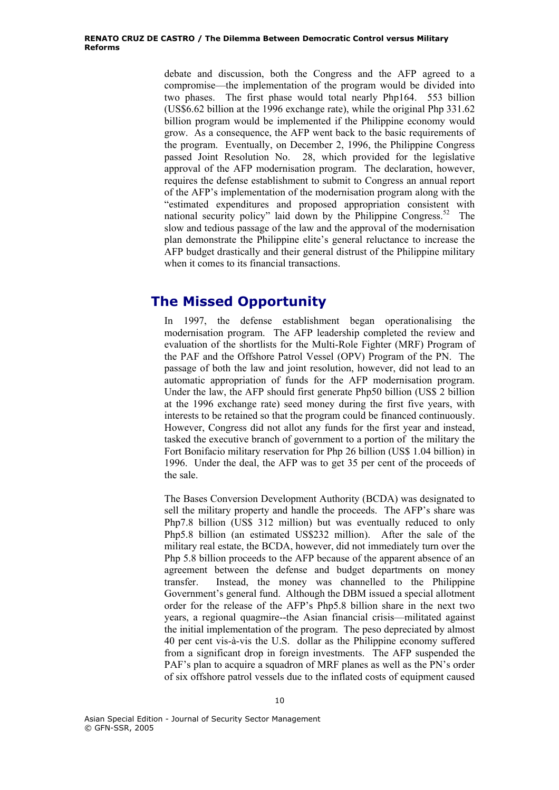debate and discussion, both the Congress and the AFP agreed to a compromise—the implementation of the program would be divided into two phases. The first phase would total nearly Php164. 553 billion (US\$6.62 billion at the 1996 exchange rate), while the original Php 331.62 billion program would be implemented if the Philippine economy would grow. As a consequence, the AFP went back to the basic requirements of the program. Eventually, on December 2, 1996, the Philippine Congress passed Joint Resolution No. 28, which provided for the legislative approval of the AFP modernisation program. The declaration, however, requires the defense establishment to submit to Congress an annual report of the AFP's implementation of the modernisation program along with the "estimated expenditures and proposed appropriation consistent with national security policy" laid down by the Philippine Congress.52 The slow and tedious passage of the law and the approval of the modernisation plan demonstrate the Philippine elite's general reluctance to increase the AFP budget drastically and their general distrust of the Philippine military when it comes to its financial transactions.

# **The Missed Opportunity**

In 1997, the defense establishment began operationalising the modernisation program. The AFP leadership completed the review and evaluation of the shortlists for the Multi-Role Fighter (MRF) Program of the PAF and the Offshore Patrol Vessel (OPV) Program of the PN. The passage of both the law and joint resolution, however, did not lead to an automatic appropriation of funds for the AFP modernisation program. Under the law, the AFP should first generate Php50 billion (US\$ 2 billion at the 1996 exchange rate) seed money during the first five years, with interests to be retained so that the program could be financed continuously. However, Congress did not allot any funds for the first year and instead, tasked the executive branch of government to a portion of the military the Fort Bonifacio military reservation for Php 26 billion (US\$ 1.04 billion) in 1996. Under the deal, the AFP was to get 35 per cent of the proceeds of the sale.

The Bases Conversion Development Authority (BCDA) was designated to sell the military property and handle the proceeds. The AFP's share was Php7.8 billion (US\$ 312 million) but was eventually reduced to only Php5.8 billion (an estimated US\$232 million). After the sale of the military real estate, the BCDA, however, did not immediately turn over the Php 5.8 billion proceeds to the AFP because of the apparent absence of an agreement between the defense and budget departments on money transfer. Instead, the money was channelled to the Philippine Government's general fund. Although the DBM issued a special allotment order for the release of the AFP's Php5.8 billion share in the next two years, a regional quagmire--the Asian financial crisis—militated against the initial implementation of the program. The peso depreciated by almost 40 per cent vis-à-vis the U.S. dollar as the Philippine economy suffered from a significant drop in foreign investments. The AFP suspended the PAF's plan to acquire a squadron of MRF planes as well as the PN's order of six offshore patrol vessels due to the inflated costs of equipment caused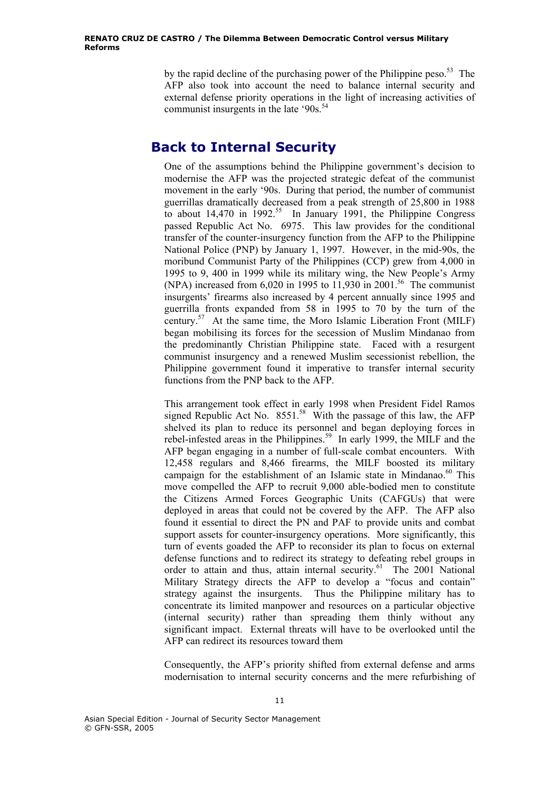by the rapid decline of the purchasing power of the Philippine peso.<sup>53</sup> The AFP also took into account the need to balance internal security and external defense priority operations in the light of increasing activities of communist insurgents in the late '90s.<sup>54</sup>

# **Back to Internal Security**

One of the assumptions behind the Philippine government's decision to modernise the AFP was the projected strategic defeat of the communist movement in the early '90s. During that period, the number of communist guerrillas dramatically decreased from a peak strength of 25,800 in 1988 to about  $14,470$  in 1992.<sup>55</sup> In January 1991, the Philippine Congress passed Republic Act No. 6975. This law provides for the conditional transfer of the counter-insurgency function from the AFP to the Philippine National Police (PNP) by January 1, 1997. However, in the mid-90s, the moribund Communist Party of the Philippines (CCP) grew from 4,000 in 1995 to 9, 400 in 1999 while its military wing, the New People's Army (NPA) increased from  $6,020$  in 1995 to 11,930 in 2001.<sup>56</sup> The communist insurgents' firearms also increased by 4 percent annually since 1995 and guerrilla fronts expanded from 58 in 1995 to 70 by the turn of the century.57 At the same time, the Moro Islamic Liberation Front (MILF) began mobilising its forces for the secession of Muslim Mindanao from the predominantly Christian Philippine state. Faced with a resurgent communist insurgency and a renewed Muslim secessionist rebellion, the Philippine government found it imperative to transfer internal security functions from the PNP back to the AFP.

This arrangement took effect in early 1998 when President Fidel Ramos signed Republic Act No.  $8551<sup>58</sup>$  With the passage of this law, the AFP shelved its plan to reduce its personnel and began deploying forces in rebel-infested areas in the Philippines.<sup>59</sup> In early 1999, the MILF and the AFP began engaging in a number of full-scale combat encounters. With 12,458 regulars and 8,466 firearms, the MILF boosted its military campaign for the establishment of an Islamic state in Mindanao.<sup>60</sup> This move compelled the AFP to recruit 9,000 able-bodied men to constitute the Citizens Armed Forces Geographic Units (CAFGUs) that were deployed in areas that could not be covered by the AFP. The AFP also found it essential to direct the PN and PAF to provide units and combat support assets for counter-insurgency operations. More significantly, this turn of events goaded the AFP to reconsider its plan to focus on external defense functions and to redirect its strategy to defeating rebel groups in order to attain and thus, attain internal security.<sup>61</sup> The 2001 National Military Strategy directs the AFP to develop a "focus and contain" strategy against the insurgents. Thus the Philippine military has to concentrate its limited manpower and resources on a particular objective (internal security) rather than spreading them thinly without any significant impact. External threats will have to be overlooked until the AFP can redirect its resources toward them

Consequently, the AFP's priority shifted from external defense and arms modernisation to internal security concerns and the mere refurbishing of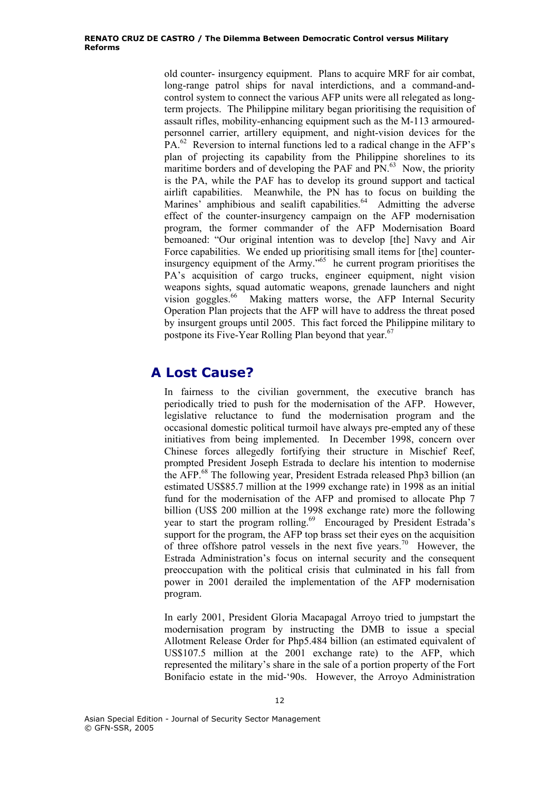old counter- insurgency equipment. Plans to acquire MRF for air combat, long-range patrol ships for naval interdictions, and a command-andcontrol system to connect the various AFP units were all relegated as longterm projects. The Philippine military began prioritising the requisition of assault rifles, mobility-enhancing equipment such as the M-113 armouredpersonnel carrier, artillery equipment, and night-vision devices for the PA.<sup>62</sup> Reversion to internal functions led to a radical change in the AFP's plan of projecting its capability from the Philippine shorelines to its maritime borders and of developing the PAF and PN.<sup>63</sup> Now, the priority is the PA, while the PAF has to develop its ground support and tactical airlift capabilities. Meanwhile, the PN has to focus on building the Marines' amphibious and sealift capabilities.<sup>64</sup> Admitting the adverse effect of the counter-insurgency campaign on the AFP modernisation program, the former commander of the AFP Modernisation Board bemoaned: "Our original intention was to develop [the] Navy and Air Force capabilities. We ended up prioritising small items for [the] counterinsurgency equipment of the Army.<sup> $165$ </sup> he current program prioritises the PA's acquisition of cargo trucks, engineer equipment, night vision weapons sights, squad automatic weapons, grenade launchers and night vision goggles.<sup>66</sup> Making matters worse, the AFP Internal Security Operation Plan projects that the AFP will have to address the threat posed by insurgent groups until 2005. This fact forced the Philippine military to postpone its Five-Year Rolling Plan beyond that year.<sup>67</sup>

# **A Lost Cause?**

In fairness to the civilian government, the executive branch has periodically tried to push for the modernisation of the AFP. However, legislative reluctance to fund the modernisation program and the occasional domestic political turmoil have always pre-empted any of these initiatives from being implemented. In December 1998, concern over Chinese forces allegedly fortifying their structure in Mischief Reef, prompted President Joseph Estrada to declare his intention to modernise the AFP.68 The following year, President Estrada released Php3 billion (an estimated US\$85.7 million at the 1999 exchange rate) in 1998 as an initial fund for the modernisation of the AFP and promised to allocate Php 7 billion (US\$ 200 million at the 1998 exchange rate) more the following year to start the program rolling.<sup>69</sup> Encouraged by President Estrada's support for the program, the AFP top brass set their eyes on the acquisition of three offshore patrol vessels in the next five years.<sup>70</sup> However, the Estrada Administration's focus on internal security and the consequent preoccupation with the political crisis that culminated in his fall from power in 2001 derailed the implementation of the AFP modernisation program.

In early 2001, President Gloria Macapagal Arroyo tried to jumpstart the modernisation program by instructing the DMB to issue a special Allotment Release Order for Php5.484 billion (an estimated equivalent of US\$107.5 million at the 2001 exchange rate) to the AFP, which represented the military's share in the sale of a portion property of the Fort Bonifacio estate in the mid-'90s. However, the Arroyo Administration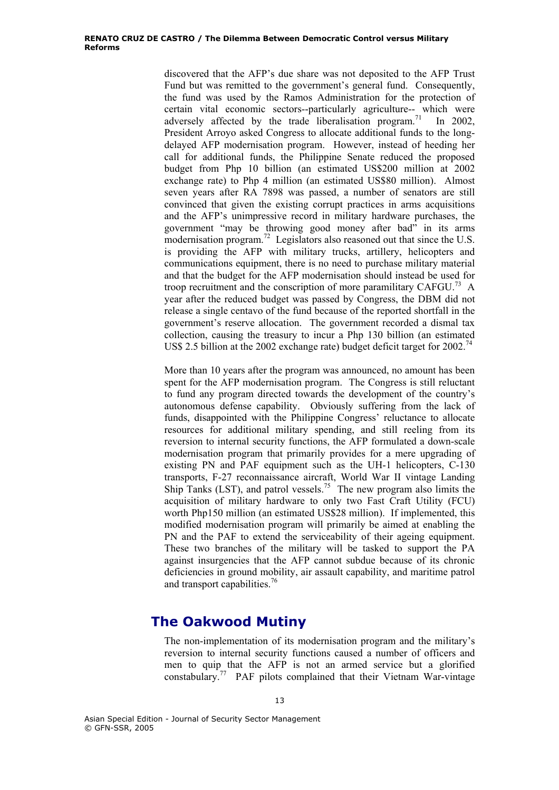discovered that the AFP's due share was not deposited to the AFP Trust Fund but was remitted to the government's general fund. Consequently, the fund was used by the Ramos Administration for the protection of certain vital economic sectors--particularly agriculture-- which were adversely affected by the trade liberalisation program.<sup>71</sup> In 2002, President Arroyo asked Congress to allocate additional funds to the longdelayed AFP modernisation program. However, instead of heeding her call for additional funds, the Philippine Senate reduced the proposed budget from Php 10 billion (an estimated US\$200 million at 2002 exchange rate) to Php 4 million (an estimated US\$80 million). Almost seven years after RA 7898 was passed, a number of senators are still convinced that given the existing corrupt practices in arms acquisitions and the AFP's unimpressive record in military hardware purchases, the government "may be throwing good money after bad" in its arms modernisation program.<sup>72</sup> Legislators also reasoned out that since the U.S. is providing the AFP with military trucks, artillery, helicopters and communications equipment, there is no need to purchase military material and that the budget for the AFP modernisation should instead be used for troop recruitment and the conscription of more paramilitary  $CAFGU<sup>73</sup>$  A year after the reduced budget was passed by Congress, the DBM did not release a single centavo of the fund because of the reported shortfall in the government's reserve allocation. The government recorded a dismal tax collection, causing the treasury to incur a Php 130 billion (an estimated US\$ 2.5 billion at the 2002 exchange rate) budget deficit target for 2002.<sup>74</sup>

More than 10 years after the program was announced, no amount has been spent for the AFP modernisation program. The Congress is still reluctant to fund any program directed towards the development of the country's autonomous defense capability. Obviously suffering from the lack of funds, disappointed with the Philippine Congress' reluctance to allocate resources for additional military spending, and still reeling from its reversion to internal security functions, the AFP formulated a down-scale modernisation program that primarily provides for a mere upgrading of existing PN and PAF equipment such as the UH-1 helicopters, C-130 transports, F-27 reconnaissance aircraft, World War II vintage Landing Ship Tanks (LST), and patrol vessels.<sup>75</sup> The new program also limits the acquisition of military hardware to only two Fast Craft Utility (FCU) worth Php150 million (an estimated US\$28 million). If implemented, this modified modernisation program will primarily be aimed at enabling the PN and the PAF to extend the serviceability of their ageing equipment. These two branches of the military will be tasked to support the PA against insurgencies that the AFP cannot subdue because of its chronic deficiencies in ground mobility, air assault capability, and maritime patrol and transport capabilities.<sup>76</sup>

### **The Oakwood Mutiny**

The non-implementation of its modernisation program and the military's reversion to internal security functions caused a number of officers and men to quip that the AFP is not an armed service but a glorified constabulary.77 PAF pilots complained that their Vietnam War-vintage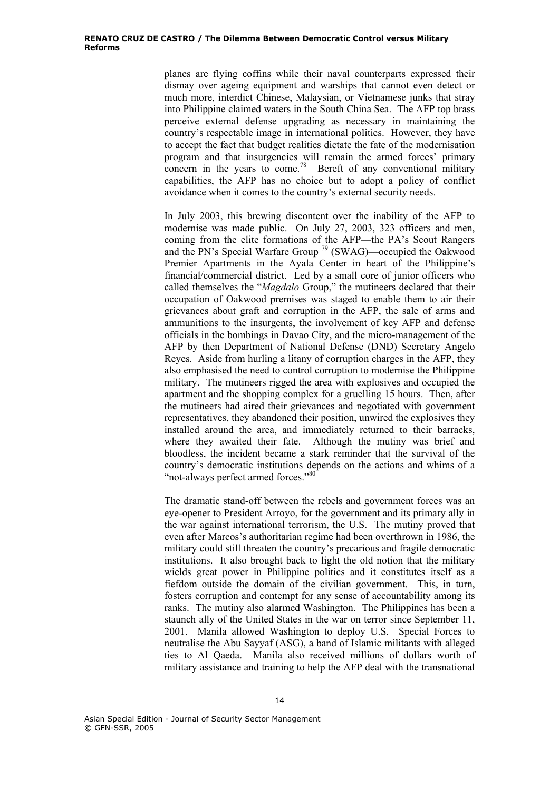planes are flying coffins while their naval counterparts expressed their dismay over ageing equipment and warships that cannot even detect or much more, interdict Chinese, Malaysian, or Vietnamese junks that stray into Philippine claimed waters in the South China Sea. The AFP top brass perceive external defense upgrading as necessary in maintaining the country's respectable image in international politics. However, they have to accept the fact that budget realities dictate the fate of the modernisation program and that insurgencies will remain the armed forces' primary concern in the years to come.<sup>78</sup> Bereft of any conventional military capabilities, the AFP has no choice but to adopt a policy of conflict avoidance when it comes to the country's external security needs.

In July 2003, this brewing discontent over the inability of the AFP to modernise was made public. On July 27, 2003, 323 officers and men, coming from the elite formations of the AFP—the PA's Scout Rangers and the PN's Special Warfare Group 79 (SWAG)—occupied the Oakwood Premier Apartments in the Ayala Center in heart of the Philippine's financial/commercial district. Led by a small core of junior officers who called themselves the "*Magdalo* Group," the mutineers declared that their occupation of Oakwood premises was staged to enable them to air their grievances about graft and corruption in the AFP, the sale of arms and ammunitions to the insurgents, the involvement of key AFP and defense officials in the bombings in Davao City, and the micro-management of the AFP by then Department of National Defense (DND) Secretary Angelo Reyes. Aside from hurling a litany of corruption charges in the AFP, they also emphasised the need to control corruption to modernise the Philippine military. The mutineers rigged the area with explosives and occupied the apartment and the shopping complex for a gruelling 15 hours. Then, after the mutineers had aired their grievances and negotiated with government representatives, they abandoned their position, unwired the explosives they installed around the area, and immediately returned to their barracks, where they awaited their fate. Although the mutiny was brief and bloodless, the incident became a stark reminder that the survival of the country's democratic institutions depends on the actions and whims of a "not-always perfect armed forces."<sup>80</sup>

The dramatic stand-off between the rebels and government forces was an eye-opener to President Arroyo, for the government and its primary ally in the war against international terrorism, the U.S. The mutiny proved that even after Marcos's authoritarian regime had been overthrown in 1986, the military could still threaten the country's precarious and fragile democratic institutions. It also brought back to light the old notion that the military wields great power in Philippine politics and it constitutes itself as a fiefdom outside the domain of the civilian government. This, in turn, fosters corruption and contempt for any sense of accountability among its ranks. The mutiny also alarmed Washington. The Philippines has been a staunch ally of the United States in the war on terror since September 11, 2001. Manila allowed Washington to deploy U.S. Special Forces to neutralise the Abu Sayyaf (ASG), a band of Islamic militants with alleged ties to Al Qaeda. Manila also received millions of dollars worth of military assistance and training to help the AFP deal with the transnational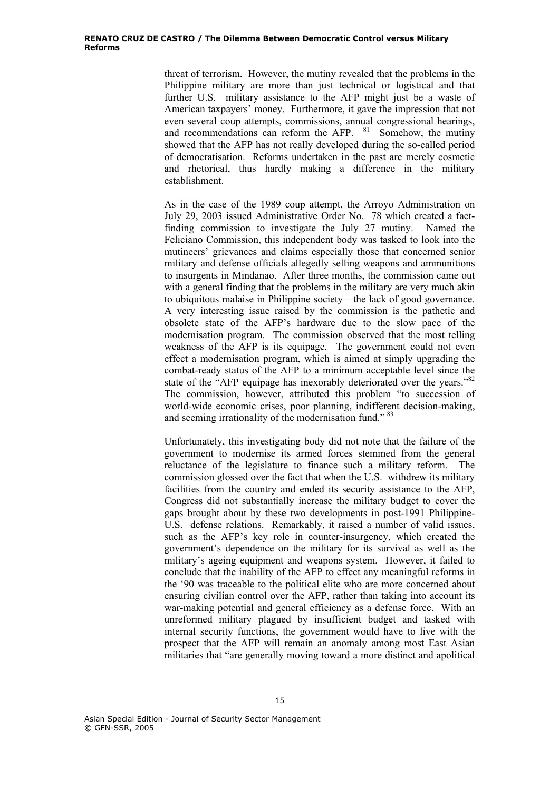threat of terrorism. However, the mutiny revealed that the problems in the Philippine military are more than just technical or logistical and that further U.S. military assistance to the AFP might just be a waste of American taxpayers' money. Furthermore, it gave the impression that not even several coup attempts, commissions, annual congressional hearings, and recommendations can reform the  $\overline{AP}$ .  $\overline{81}$  Somehow, the mutiny showed that the AFP has not really developed during the so-called period of democratisation. Reforms undertaken in the past are merely cosmetic and rhetorical, thus hardly making a difference in the military establishment.

As in the case of the 1989 coup attempt, the Arroyo Administration on July 29, 2003 issued Administrative Order No. 78 which created a factfinding commission to investigate the July 27 mutiny. Named the Feliciano Commission, this independent body was tasked to look into the mutineers' grievances and claims especially those that concerned senior military and defense officials allegedly selling weapons and ammunitions to insurgents in Mindanao. After three months, the commission came out with a general finding that the problems in the military are very much akin to ubiquitous malaise in Philippine society—the lack of good governance. A very interesting issue raised by the commission is the pathetic and obsolete state of the AFP's hardware due to the slow pace of the modernisation program. The commission observed that the most telling weakness of the AFP is its equipage. The government could not even effect a modernisation program, which is aimed at simply upgrading the combat-ready status of the AFP to a minimum acceptable level since the state of the "AFP equipage has inexorably deteriorated over the years."<sup>82</sup> The commission, however, attributed this problem "to succession of world-wide economic crises, poor planning, indifferent decision-making, and seeming irrationality of the modernisation fund."<sup>83</sup>

Unfortunately, this investigating body did not note that the failure of the government to modernise its armed forces stemmed from the general reluctance of the legislature to finance such a military reform. The commission glossed over the fact that when the U.S. withdrew its military facilities from the country and ended its security assistance to the AFP, Congress did not substantially increase the military budget to cover the gaps brought about by these two developments in post-1991 Philippine-U.S. defense relations. Remarkably, it raised a number of valid issues, such as the AFP's key role in counter-insurgency, which created the government's dependence on the military for its survival as well as the military's ageing equipment and weapons system. However, it failed to conclude that the inability of the AFP to effect any meaningful reforms in the '90 was traceable to the political elite who are more concerned about ensuring civilian control over the AFP, rather than taking into account its war-making potential and general efficiency as a defense force. With an unreformed military plagued by insufficient budget and tasked with internal security functions, the government would have to live with the prospect that the AFP will remain an anomaly among most East Asian militaries that "are generally moving toward a more distinct and apolitical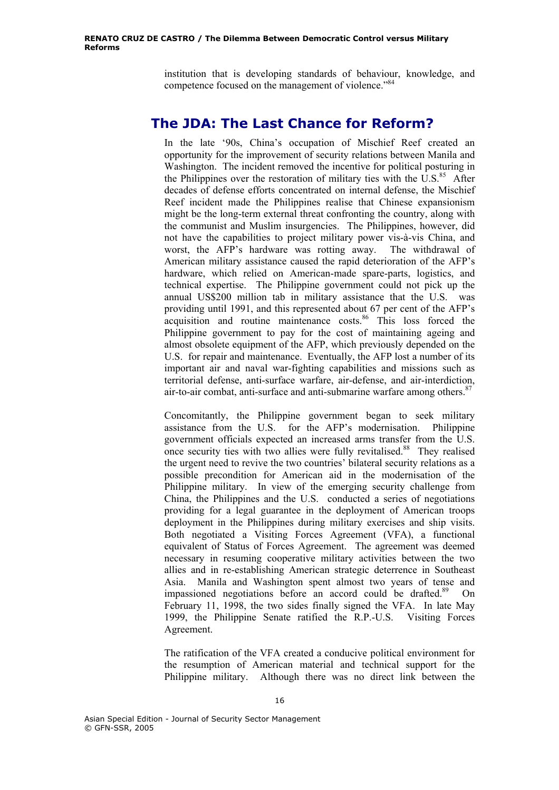institution that is developing standards of behaviour, knowledge, and competence focused on the management of violence."<sup>84</sup>

#### **The JDA: The Last Chance for Reform?**

In the late '90s, China's occupation of Mischief Reef created an opportunity for the improvement of security relations between Manila and Washington. The incident removed the incentive for political posturing in the Philippines over the restoration of military ties with the  $\overline{U.S.}^{85}$  After decades of defense efforts concentrated on internal defense, the Mischief Reef incident made the Philippines realise that Chinese expansionism might be the long-term external threat confronting the country, along with the communist and Muslim insurgencies. The Philippines, however, did not have the capabilities to project military power vis-à-vis China, and worst, the AFP's hardware was rotting away. The withdrawal of American military assistance caused the rapid deterioration of the AFP's hardware, which relied on American-made spare-parts, logistics, and technical expertise. The Philippine government could not pick up the annual US\$200 million tab in military assistance that the U.S. was providing until 1991, and this represented about 67 per cent of the AFP's acquisition and routine maintenance costs.<sup>86</sup> This loss forced the Philippine government to pay for the cost of maintaining ageing and almost obsolete equipment of the AFP, which previously depended on the U.S. for repair and maintenance. Eventually, the AFP lost a number of its important air and naval war-fighting capabilities and missions such as territorial defense, anti-surface warfare, air-defense, and air-interdiction, air-to-air combat, anti-surface and anti-submarine warfare among others.<sup>8</sup>

Concomitantly, the Philippine government began to seek military assistance from the U.S. for the AFP's modernisation. Philippine government officials expected an increased arms transfer from the U.S. once security ties with two allies were fully revitalised.<sup>88</sup> They realised the urgent need to revive the two countries' bilateral security relations as a possible precondition for American aid in the modernisation of the Philippine military. In view of the emerging security challenge from China, the Philippines and the U.S. conducted a series of negotiations providing for a legal guarantee in the deployment of American troops deployment in the Philippines during military exercises and ship visits. Both negotiated a Visiting Forces Agreement (VFA), a functional equivalent of Status of Forces Agreement. The agreement was deemed necessary in resuming cooperative military activities between the two allies and in re-establishing American strategic deterrence in Southeast Asia. Manila and Washington spent almost two years of tense and impassioned negotiations before an accord could be drafted.<sup>89</sup> On February 11, 1998, the two sides finally signed the VFA. In late May 1999, the Philippine Senate ratified the R.P.-U.S. Visiting Forces Agreement.

The ratification of the VFA created a conducive political environment for the resumption of American material and technical support for the Philippine military. Although there was no direct link between the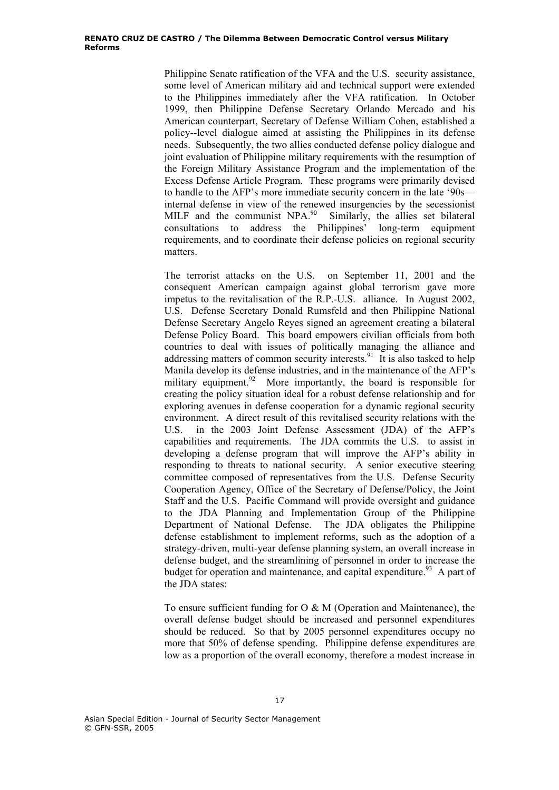Philippine Senate ratification of the VFA and the U.S. security assistance, some level of American military aid and technical support were extended to the Philippines immediately after the VFA ratification. In October 1999, then Philippine Defense Secretary Orlando Mercado and his American counterpart, Secretary of Defense William Cohen, established a policy--level dialogue aimed at assisting the Philippines in its defense needs. Subsequently, the two allies conducted defense policy dialogue and joint evaluation of Philippine military requirements with the resumption of the Foreign Military Assistance Program and the implementation of the Excess Defense Article Program. These programs were primarily devised to handle to the AFP's more immediate security concern in the late '90s internal defense in view of the renewed insurgencies by the secessionist MILF and the communist NPA.<sup>90</sup> Similarly, the allies set bilateral consultations to address the Philippines' long-term equipment requirements, and to coordinate their defense policies on regional security matters.

The terrorist attacks on the U.S. on September 11, 2001 and the consequent American campaign against global terrorism gave more impetus to the revitalisation of the R.P.-U.S. alliance. In August 2002, U.S. Defense Secretary Donald Rumsfeld and then Philippine National Defense Secretary Angelo Reyes signed an agreement creating a bilateral Defense Policy Board. This board empowers civilian officials from both countries to deal with issues of politically managing the alliance and addressing matters of common security interests.<sup>91</sup> It is also tasked to help Manila develop its defense industries, and in the maintenance of the AFP's military equipment.<sup>92</sup> More importantly, the board is responsible for creating the policy situation ideal for a robust defense relationship and for exploring avenues in defense cooperation for a dynamic regional security environment. A direct result of this revitalised security relations with the U.S. in the 2003 Joint Defense Assessment (JDA) of the AFP's capabilities and requirements. The JDA commits the U.S. to assist in developing a defense program that will improve the AFP's ability in responding to threats to national security. A senior executive steering committee composed of representatives from the U.S. Defense Security Cooperation Agency, Office of the Secretary of Defense/Policy, the Joint Staff and the U.S. Pacific Command will provide oversight and guidance to the JDA Planning and Implementation Group of the Philippine Department of National Defense. The JDA obligates the Philippine defense establishment to implement reforms, such as the adoption of a strategy-driven, multi-year defense planning system, an overall increase in defense budget, and the streamlining of personnel in order to increase the budget for operation and maintenance, and capital expenditure.<sup>93</sup> A part of the JDA states:

To ensure sufficient funding for O & M (Operation and Maintenance), the overall defense budget should be increased and personnel expenditures should be reduced. So that by 2005 personnel expenditures occupy no more that 50% of defense spending. Philippine defense expenditures are low as a proportion of the overall economy, therefore a modest increase in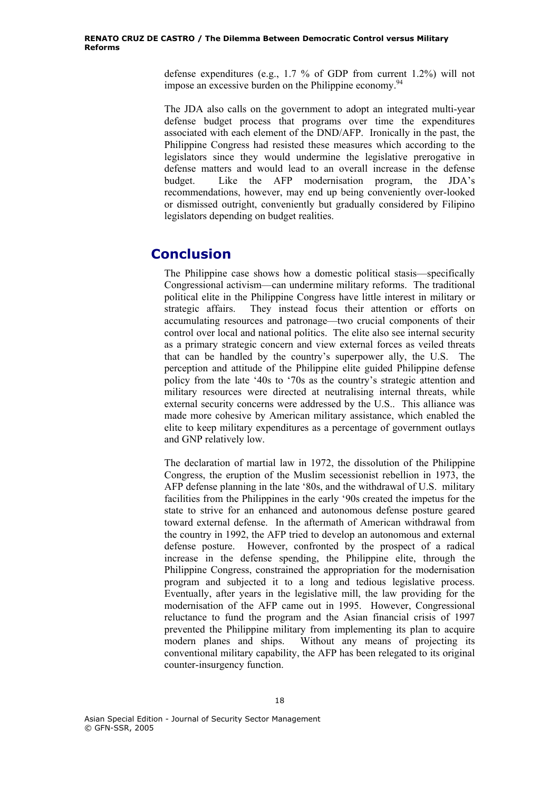defense expenditures (e.g., 1.7 % of GDP from current 1.2%) will not impose an excessive burden on the Philippine economy.<sup>94</sup>

The JDA also calls on the government to adopt an integrated multi-year defense budget process that programs over time the expenditures associated with each element of the DND/AFP. Ironically in the past, the Philippine Congress had resisted these measures which according to the legislators since they would undermine the legislative prerogative in defense matters and would lead to an overall increase in the defense budget. Like the AFP modernisation program, the JDA's recommendations, however, may end up being conveniently over-looked or dismissed outright, conveniently but gradually considered by Filipino legislators depending on budget realities.

# **Conclusion**

The Philippine case shows how a domestic political stasis—specifically Congressional activism—can undermine military reforms. The traditional political elite in the Philippine Congress have little interest in military or strategic affairs. They instead focus their attention or efforts on accumulating resources and patronage—two crucial components of their control over local and national politics. The elite also see internal security as a primary strategic concern and view external forces as veiled threats that can be handled by the country's superpower ally, the U.S. The perception and attitude of the Philippine elite guided Philippine defense policy from the late '40s to '70s as the country's strategic attention and military resources were directed at neutralising internal threats, while external security concerns were addressed by the U.S.. This alliance was made more cohesive by American military assistance, which enabled the elite to keep military expenditures as a percentage of government outlays and GNP relatively low.

The declaration of martial law in 1972, the dissolution of the Philippine Congress, the eruption of the Muslim secessionist rebellion in 1973, the AFP defense planning in the late '80s, and the withdrawal of U.S. military facilities from the Philippines in the early '90s created the impetus for the state to strive for an enhanced and autonomous defense posture geared toward external defense. In the aftermath of American withdrawal from the country in 1992, the AFP tried to develop an autonomous and external defense posture. However, confronted by the prospect of a radical increase in the defense spending, the Philippine elite, through the Philippine Congress, constrained the appropriation for the modernisation program and subjected it to a long and tedious legislative process. Eventually, after years in the legislative mill, the law providing for the modernisation of the AFP came out in 1995. However, Congressional reluctance to fund the program and the Asian financial crisis of 1997 prevented the Philippine military from implementing its plan to acquire modern planes and ships. Without any means of projecting its conventional military capability, the AFP has been relegated to its original counter-insurgency function.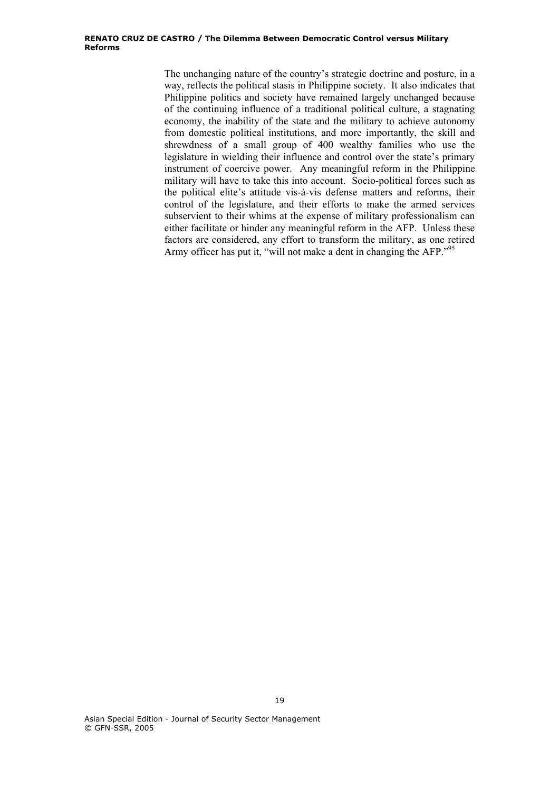#### **RENATO CRUZ DE CASTRO / The Dilemma Between Democratic Control versus Military Reforms**

The unchanging nature of the country's strategic doctrine and posture, in a way, reflects the political stasis in Philippine society. It also indicates that Philippine politics and society have remained largely unchanged because of the continuing influence of a traditional political culture, a stagnating economy, the inability of the state and the military to achieve autonomy from domestic political institutions, and more importantly, the skill and shrewdness of a small group of 400 wealthy families who use the legislature in wielding their influence and control over the state's primary instrument of coercive power. Any meaningful reform in the Philippine military will have to take this into account. Socio-political forces such as the political elite's attitude vis-à-vis defense matters and reforms, their control of the legislature, and their efforts to make the armed services subservient to their whims at the expense of military professionalism can either facilitate or hinder any meaningful reform in the AFP. Unless these factors are considered, any effort to transform the military, as one retired Army officer has put it, "will not make a dent in changing the AFP."95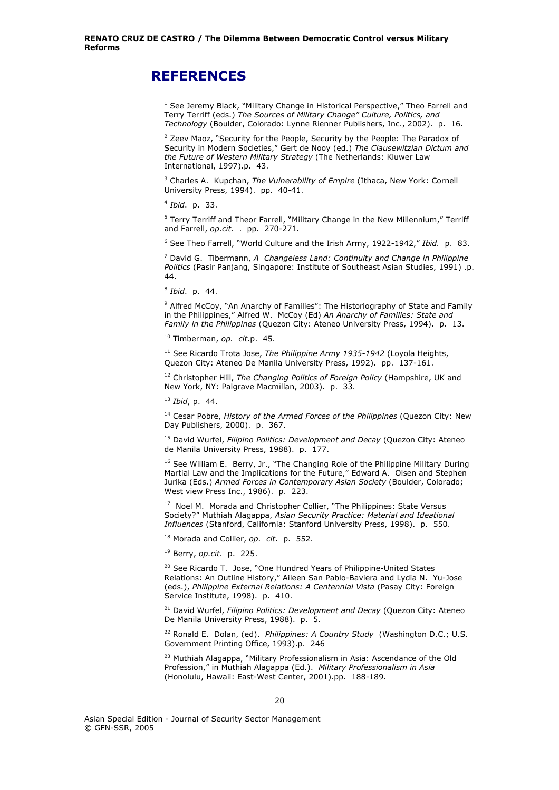### **REFERENCES**

 $\overline{a}$ 

<sup>2</sup> Zeev Maoz, "Security for the People, Security by the People: The Paradox of Security in Modern Societies," Gert de Nooy (ed.) *The Clausewitzian Dictum and the Future of Western Military Strategy* (The Netherlands: Kluwer Law International, 1997).p. 43.

3 Charles A. Kupchan, *The Vulnerability of Empire* (Ithaca, New York: Cornell University Press, 1994). pp. 40-41.

<sup>4</sup> *Ibid*. p. 33.

<sup>5</sup> Terry Terriff and Theor Farrell, "Military Change in the New Millennium," Terriff and Farrell, *op.cit.* . pp. 270-271.

6 See Theo Farrell, "World Culture and the Irish Army, 1922-1942," *Ibid.* p. 83.

7 David G. Tibermann, *A Changeless Land: Continuity and Change in Philippine Politics* (Pasir Panjang, Singapore: Institute of Southeast Asian Studies, 1991) .p. 44.

<sup>8</sup> *Ibid*. p. 44.

<sup>9</sup> Alfred McCoy, "An Anarchy of Families": The Historiography of State and Family in the Philippines," Alfred W. McCoy (Ed) *An Anarchy of Families: State and Family in the Philippines* (Quezon City: Ateneo University Press, 1994). p. 13.

10 Timberman, *op. cit*.p. 45.

<sup>11</sup> See Ricardo Trota Jose, *The Philippine Army 1935-1942* (Loyola Heights, Quezon City: Ateneo De Manila University Press, 1992). pp. 137-161.

12 Christopher Hill, *The Changing Politics of Foreign Policy* (Hampshire, UK and New York, NY: Palgrave Macmillan, 2003). p. 33.

<sup>13</sup> *Ibid*, p. 44.

14 Cesar Pobre, *History of the Armed Forces of the Philippines* (Quezon City: New Day Publishers, 2000). p. 367.

15 David Wurfel, *Filipino Politics: Development and Decay* (Quezon City: Ateneo de Manila University Press, 1988). p. 177.

 $16$  See William E. Berry, Jr., "The Changing Role of the Philippine Military During Martial Law and the Implications for the Future," Edward A. Olsen and Stephen Jurika (Eds.) *Armed Forces in Contemporary Asian Society* (Boulder, Colorado; West view Press Inc., 1986). p. 223.

<sup>17</sup> Noel M. Morada and Christopher Collier, "The Philippines: State Versus Society?" Muthiah Alagappa, *Asian Security Practice: Material and Ideational Influences* (Stanford, California: Stanford University Press, 1998). p. 550.

18 Morada and Collier, *op. cit*. p. 552.

19 Berry, *op.cit*. p. 225.

<sup>20</sup> See Ricardo T. Jose, "One Hundred Years of Philippine-United States Relations: An Outline History," Aileen San Pablo-Baviera and Lydia N. Yu-Jose (eds.), *Philippine External Relations: A Centennial Vista* (Pasay City: Foreign Service Institute, 1998). p. 410.

21 David Wurfel, *Filipino Politics: Development and Decay* (Quezon City: Ateneo De Manila University Press, 1988). p. 5.

22 Ronald E. Dolan, (ed). *Philippines: A Country Study* (Washington D.C.; U.S. Government Printing Office, 1993).p. 246

<sup>23</sup> Muthiah Alagappa, "Military Professionalism in Asia: Ascendance of the Old Profession," in Muthiah Alagappa (Ed.). *Military Professionalism in Asia* (Honolulu, Hawaii: East-West Center, 2001).pp. 188-189.

<sup>&</sup>lt;sup>1</sup> See Jeremy Black, "Military Change in Historical Perspective," Theo Farrell and Terry Terriff (eds.) *The Sources of Military Change" Culture, Politics, and Technology* (Boulder, Colorado: Lynne Rienner Publishers, Inc., 2002). p. 16.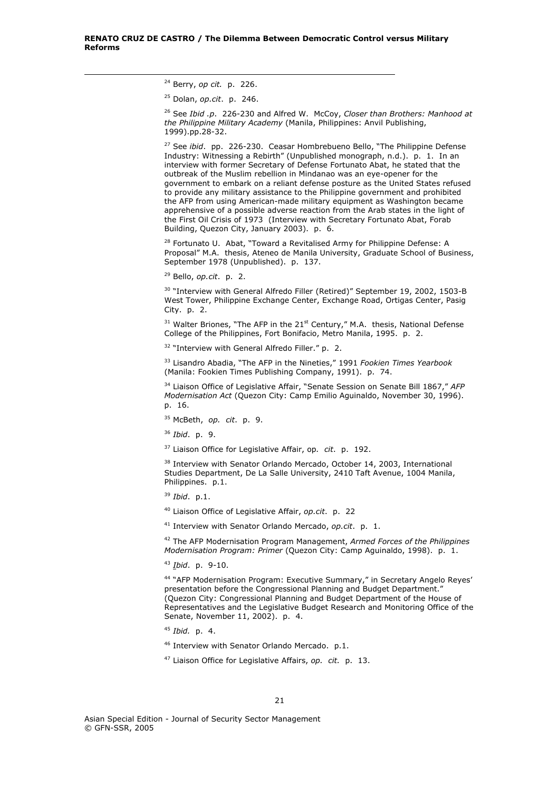24 Berry, *op cit.* p. 226.

1

25 Dolan, *op.cit*. p. 246.

26 See *Ibid .p*. 226-230 and Alfred W. McCoy, *Closer than Brothers: Manhood at the Philippine Military Academy* (Manila, Philippines: Anvil Publishing, 1999).pp.28-32.

27 See *ibid*. pp. 226-230. Ceasar Hombrebueno Bello, "The Philippine Defense Industry: Witnessing a Rebirth" (Unpublished monograph, n.d.). p. 1. In an interview with former Secretary of Defense Fortunato Abat, he stated that the outbreak of the Muslim rebellion in Mindanao was an eye-opener for the government to embark on a reliant defense posture as the United States refused to provide any military assistance to the Philippine government and prohibited the AFP from using American-made military equipment as Washington became apprehensive of a possible adverse reaction from the Arab states in the light of the First Oil Crisis of 1973 (Interview with Secretary Fortunato Abat, Forab Building, Quezon City, January 2003). p. 6.

<sup>28</sup> Fortunato U. Abat, "Toward a Revitalised Army for Philippine Defense: A Proposal" M.A. thesis, Ateneo de Manila University, Graduate School of Business, September 1978 (Unpublished). p. 137.

29 Bello, *op.cit*. p. 2.

<sup>30</sup> "Interview with General Alfredo Filler (Retired)" September 19, 2002, 1503-B West Tower, Philippine Exchange Center, Exchange Road, Ortigas Center, Pasig City. p. 2.

 $31$  Walter Briones, "The AFP in the 21<sup>st</sup> Century," M.A. thesis, National Defense College of the Philippines, Fort Bonifacio, Metro Manila, 1995. p. 2.

 $32$  "Interview with General Alfredo Filler." p. 2.

33 Lisandro Abadia, "The AFP in the Nineties," 1991 *Fookien Times Yearbook* (Manila: Fookien Times Publishing Company, 1991). p. 74.

34 Liaison Office of Legislative Affair, "Senate Session on Senate Bill 1867," *AFP Modernisation Act* (Quezon City: Camp Emilio Aguinaldo, November 30, 1996). p. 16.

35 McBeth, *op. cit*. p. 9.

<sup>36</sup> *Ibid*. p. 9.

37 Liaison Office for Legislative Affair, op*. cit*. p. 192.

<sup>38</sup> Interview with Senator Orlando Mercado, October 14, 2003, International Studies Department, De La Salle University, 2410 Taft Avenue, 1004 Manila, Philippines. p.1.

<sup>39</sup> *Ibid*. p.1.

40 Liaison Office of Legislative Affair, *op.cit*. p. 22

41 Interview with Senator Orlando Mercado, *op.cit*. p. 1.

42 The AFP Modernisation Program Management, *Armed Forces of the Philippines Modernisation Program: Primer* (Quezon City: Camp Aguinaldo, 1998). p. 1.

<sup>43</sup> *Ibid*. p. 9-10.

44 "AFP Modernisation Program: Executive Summary," in Secretary Angelo Reyes' presentation before the Congressional Planning and Budget Department." (Quezon City: Congressional Planning and Budget Department of the House of Representatives and the Legislative Budget Research and Monitoring Office of the Senate, November 11, 2002). p. 4.

<sup>45</sup> *Ibid.* p. 4.

46 Interview with Senator Orlando Mercado. p.1.

47 Liaison Office for Legislative Affairs, *op. cit.* p. 13.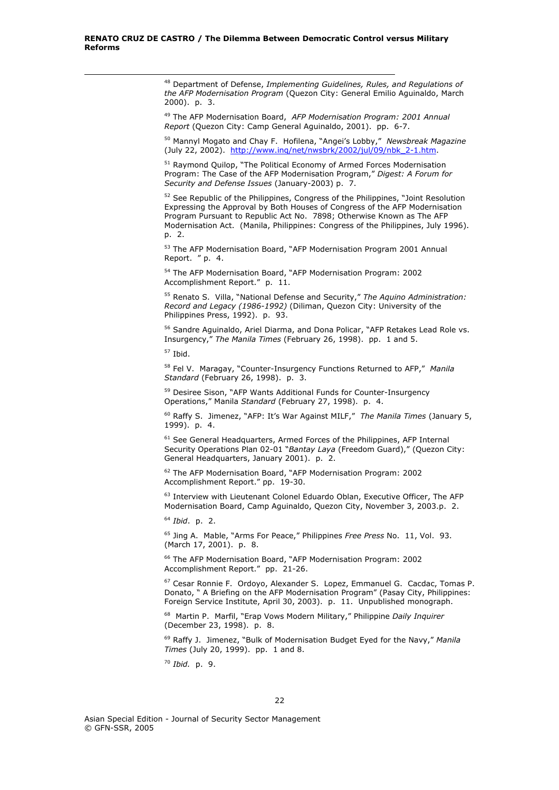48 Department of Defense, *Implementing Guidelines, Rules, and Regulations of the AFP Modernisation Program* (Quezon City: General Emilio Aguinaldo, March 2000). p. 3.

49 The AFP Modernisation Board, *AFP Modernisation Program: 2001 Annual Report* (Quezon City: Camp General Aguinaldo, 2001). pp. 6-7.

50 Mannyl Mogato and Chay F. Hofilena, "Angei's Lobby," *Newsbreak Magazine* (July 22, 2002). http://www.inq/net/nwsbrk/2002/jul/09/nbk\_2-1.htm.

<sup>51</sup> Raymond Quilop, "The Political Economy of Armed Forces Modernisation Program: The Case of the AFP Modernisation Program," *Digest: A Forum for Security and Defense Issues* (January-2003) p. 7.

<sup>52</sup> See Republic of the Philippines, Congress of the Philippines, "Joint Resolution Expressing the Approval by Both Houses of Congress of the AFP Modernisation Program Pursuant to Republic Act No. 7898; Otherwise Known as The AFP Modernisation Act. (Manila, Philippines: Congress of the Philippines, July 1996). p. 2.

53 The AFP Modernisation Board, "AFP Modernisation Program 2001 Annual Report. " p. 4.

54 The AFP Modernisation Board, "AFP Modernisation Program: 2002 Accomplishment Report." p. 11.

55 Renato S. Villa, "National Defense and Security," *The Aquino Administration: Record and Legacy (1986-1992)* (Diliman, Quezon City: University of the Philippines Press, 1992). p. 93.

<sup>56</sup> Sandre Aguinaldo, Ariel Diarma, and Dona Policar, "AFP Retakes Lead Role vs. Insurgency," *The Manila Times* (February 26, 1998). pp. 1 and 5.

57 Ibid.

1

58 Fel V. Maragay, "Counter-Insurgency Functions Returned to AFP," *Manila Standard* (February 26, 1998). p. 3.

<sup>59</sup> Desiree Sison, "AFP Wants Additional Funds for Counter-Insurgency Operations," Manila *Standard* (February 27, 1998). p. 4.

60 Raffy S. Jimenez, "AFP: It's War Against MILF," *The Manila Times* (January 5, 1999). p. 4.

<sup>61</sup> See General Headquarters, Armed Forces of the Philippines, AFP Internal Security Operations Plan 02-01 "*Bantay Laya* (Freedom Guard)," (Quezon City: General Headquarters, January 2001). p. 2.

62 The AFP Modernisation Board, "AFP Modernisation Program: 2002 Accomplishment Report." pp. 19-30.

<sup>63</sup> Interview with Lieutenant Colonel Eduardo Oblan, Executive Officer, The AFP Modernisation Board, Camp Aguinaldo, Quezon City, November 3, 2003.p. 2.

<sup>64</sup> *Ibid*. p. 2.

65 Jing A. Mable, "Arms For Peace," Philippines *Free Press* No. 11, Vol. 93. (March 17, 2001). p. 8.

66 The AFP Modernisation Board, "AFP Modernisation Program: 2002 Accomplishment Report." pp. 21-26.

67 Cesar Ronnie F. Ordoyo, Alexander S. Lopez, Emmanuel G. Cacdac, Tomas P. Donato, " A Briefing on the AFP Modernisation Program" (Pasay City, Philippines: Foreign Service Institute, April 30, 2003). p. 11. Unpublished monograph.

68 Martin P. Marfil, "Erap Vows Modern Military," Philippine *Daily Inquirer* (December 23, 1998). p. 8.

69 Raffy J. Jimenez, "Bulk of Modernisation Budget Eyed for the Navy," *Manila Times* (July 20, 1999). pp. 1 and 8.

<sup>70</sup> *Ibid.* p. 9.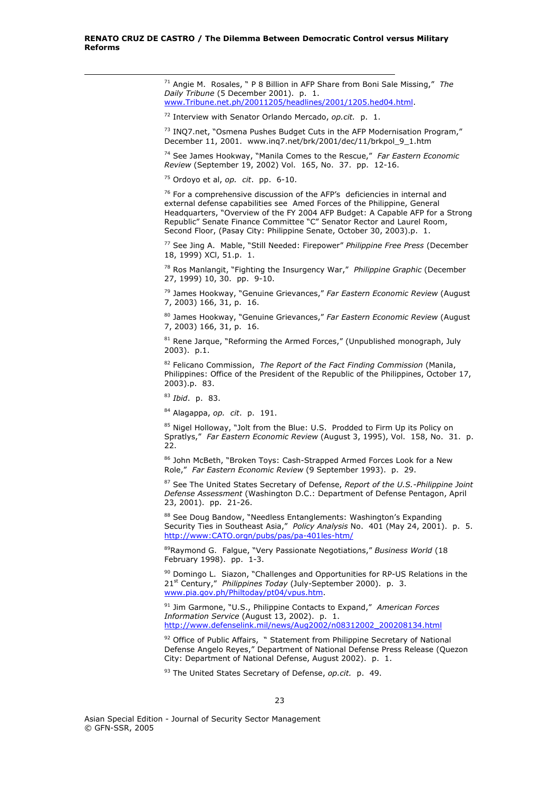71 Angie M. Rosales, " P 8 Billion in AFP Share from Boni Sale Missing," *The Daily Tribune* (5 December 2001). p. 1. www.Tribune.net.ph/20011205/headlines/2001/1205.hed04.html.

72 Interview with Senator Orlando Mercado, *op.cit.* p. 1.

73 INQ7.net, "Osmena Pushes Budget Cuts in the AFP Modernisation Program," December 11, 2001. www.inq7.net/brk/2001/dec/11/brkpol\_9\_1.htm

74 See James Hookway, "Manila Comes to the Rescue," *Far Eastern Economic Review* (September 19, 2002) Vol. 165, No. 37. pp. 12-16.

75 Ordoyo et al, *op. cit*. pp. 6-10.

1

 $76$  For a comprehensive discussion of the AFP's deficiencies in internal and external defense capabilities see Amed Forces of the Philippine, General Headquarters, "Overview of the FY 2004 AFP Budget: A Capable AFP for a Strong Republic" Senate Finance Committee "C" Senator Rector and Laurel Room, Second Floor, (Pasay City: Philippine Senate, October 30, 2003).p. 1.

77 See Jing A. Mable, "Still Needed: Firepower" *Philippine Free Press* (December 18, 1999) XCl, 51.p. 1.

78 Ros Manlangit, "Fighting the Insurgency War," *Philippine Graphic* (December 27, 1999) 10, 30. pp. 9-10.

79 James Hookway, "Genuine Grievances," *Far Eastern Economic Review* (August 7, 2003) 166, 31, p. 16.

80 James Hookway, "Genuine Grievances," *Far Eastern Economic Review* (August 7, 2003) 166, 31, p. 16.

 $81$  Rene Jarque, "Reforming the Armed Forces," (Unpublished monograph, July 2003). p.1.

82 Felicano Commission, *The Report of the Fact Finding Commission* (Manila, Philippines: Office of the President of the Republic of the Philippines, October 17, 2003).p. 83.

<sup>83</sup> *Ibid*. p. 83.

84 Alagappa, *op. cit*. p. 191.

<sup>85</sup> Nigel Holloway, "Jolt from the Blue: U.S. Prodded to Firm Up its Policy on Spratlys," *Far Eastern Economic Review* (August 3, 1995), Vol. 158, No. 31. p. 22.

86 John McBeth, "Broken Toys: Cash-Strapped Armed Forces Look for a New Role," *Far Eastern Economic Review* (9 September 1993). p. 29.

87 See The United States Secretary of Defense, *Report of the U.S.-Philippine Joint Defense Assessment* (Washington D.C.: Department of Defense Pentagon, April 23, 2001). pp. 21-26.

88 See Doug Bandow, "Needless Entanglements: Washington's Expanding Security Ties in Southeast Asia," *Policy Analysis* No. 401 (May 24, 2001). p. 5. http://www:CATO.orgn/pubs/pas/pa-401les-htm/

89Raymond G. Falgue, "Very Passionate Negotiations," *Business World* (18 February 1998). pp. 1-3.

 $90$  Domingo L. Siazon, "Challenges and Opportunities for RP-US Relations in the 21st Century," *Philippines Today* (July-September 2000). p. 3. www.pia.gov.ph/Philtoday/pt04/vpus.htm.

91 Jim Garmone, "U.S., Philippine Contacts to Expand," *American Forces Information Service* (August 13, 2002). p. 1. http://www.defenselink.mil/news/Aug2002/n08312002\_200208134.html

 $92$  Office of Public Affairs,  $"$  Statement from Philippine Secretary of National Defense Angelo Reyes," Department of National Defense Press Release (Quezon City: Department of National Defense, August 2002). p. 1.

93 The United States Secretary of Defense, *op.cit.* p. 49.

Asian Special Edition - Journal of Security Sector Management © GFN-SSR, 2005